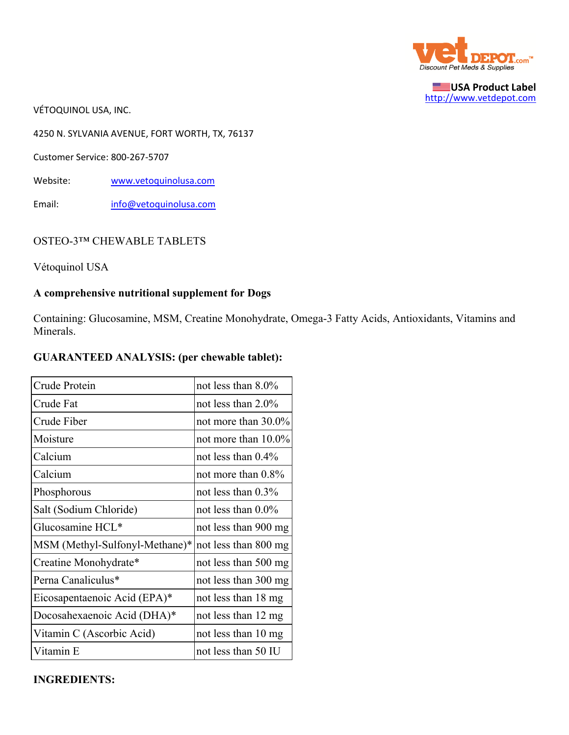

**USA Product Label** http://www.vetdepot.com

VÉTOQUINOL USA, INC.

4250 N. SYLVANIA AVENUE, FORT WORTH, TX, 76137

Customer Service: 800‐267‐5707

Website: www.vetoquinolusa.com

Email: info@vetoquinolusa.com

#### OSTEO-3™ CHEWABLE TABLETS

Vétoquinol USA

## **A comprehensive nutritional supplement for Dogs**

Containing: Glucosamine, MSM, Creatine Monohydrate, Omega-3 Fatty Acids, Antioxidants, Vitamins and Minerals.

#### **GUARANTEED ANALYSIS: (per chewable tablet):**

| Crude Protein                  | not less than $8.0\%$  |  |
|--------------------------------|------------------------|--|
| Crude Fat                      | not less than $2.0\%$  |  |
| Crude Fiber                    | not more than 30.0%    |  |
| Moisture                       | not more than $10.0\%$ |  |
| Calcium                        | not less than $0.4\%$  |  |
| Calcium                        | not more than 0.8%     |  |
| Phosphorous                    | not less than $0.3\%$  |  |
| Salt (Sodium Chloride)         | not less than $0.0\%$  |  |
| Glucosamine HCL*               | not less than 900 mg   |  |
| MSM (Methyl-Sulfonyl-Methane)* | not less than 800 mg   |  |
| Creatine Monohydrate*          | not less than 500 mg   |  |
| Perna Canaliculus*             | not less than 300 mg   |  |
| Eicosapentaenoic Acid (EPA)*   | not less than 18 mg    |  |
| Docosahexaenoic Acid (DHA)*    | not less than 12 mg    |  |
| Vitamin C (Ascorbic Acid)      | not less than 10 mg    |  |
| Vitamin E                      | not less than 50 IU    |  |

#### **INGREDIENTS:**